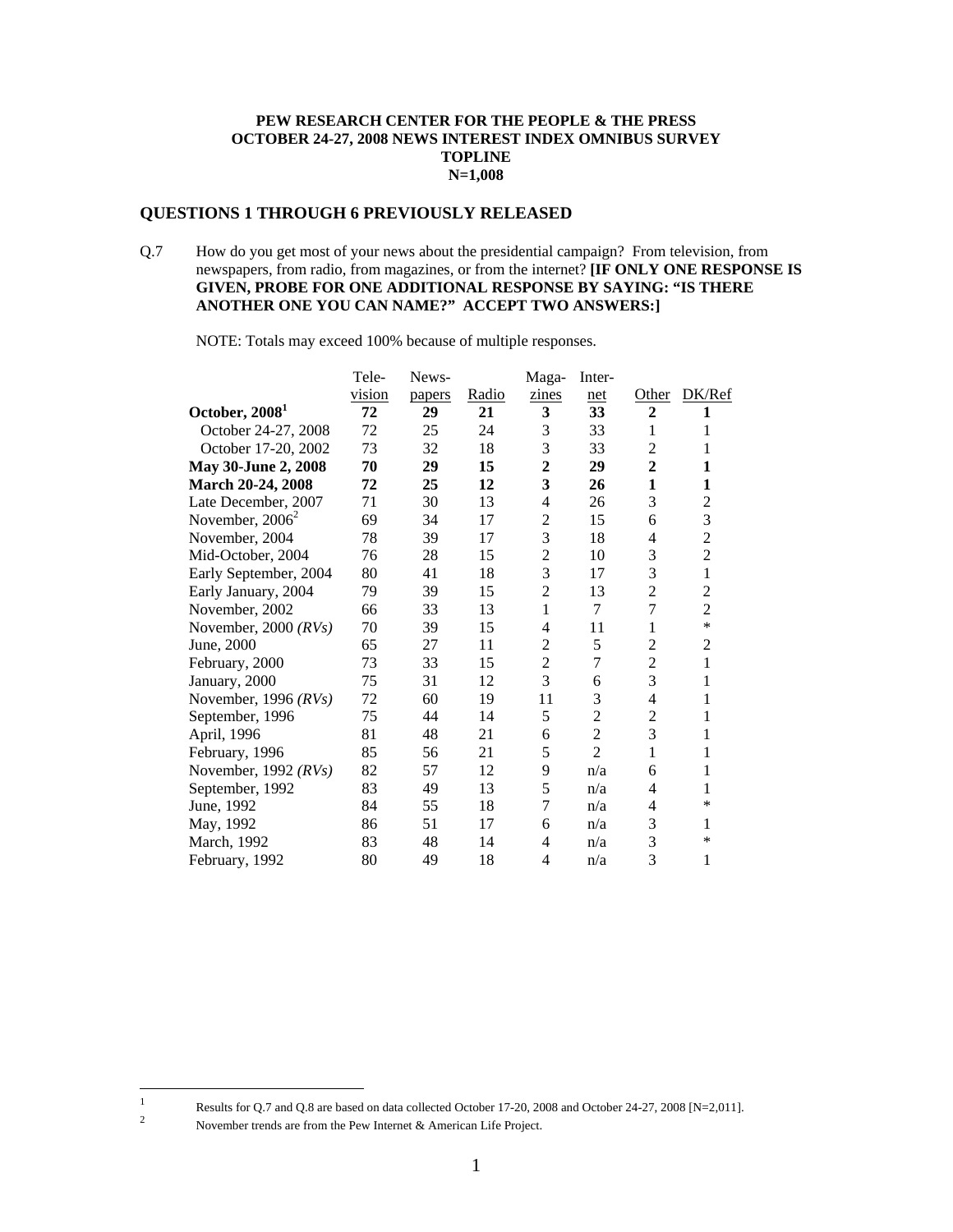#### **PEW RESEARCH CENTER FOR THE PEOPLE & THE PRESS OCTOBER 24-27, 2008 NEWS INTEREST INDEX OMNIBUS SURVEY TOPLINE N=1,008**

### **QUESTIONS 1 THROUGH 6 PREVIOUSLY RELEASED**

Q.7 How do you get most of your news about the presidential campaign? From television, from newspapers, from radio, from magazines, or from the internet? **[IF ONLY ONE RESPONSE IS GIVEN, PROBE FOR ONE ADDITIONAL RESPONSE BY SAYING: "IS THERE ANOTHER ONE YOU CAN NAME?" ACCEPT TWO ANSWERS:]** 

NOTE: Totals may exceed 100% because of multiple responses.

|                            | Tele-  | News-  |       | Maga-                   | Inter-         |                          |                |
|----------------------------|--------|--------|-------|-------------------------|----------------|--------------------------|----------------|
|                            | vision | papers | Radio | zines                   | net            | Other                    | DK/Ref         |
| October, 2008 <sup>1</sup> | 72     | 29     | 21    | $\mathbf{3}$            | 33             | $\overline{2}$           | 1              |
| October 24-27, 2008        | 72     | 25     | 24    | 3                       | 33             | 1                        | 1              |
| October 17-20, 2002        | 73     | 32     | 18    | 3                       | 33             | $\overline{2}$           | 1              |
| May 30-June 2, 2008        | 70     | 29     | 15    | $\mathbf{2}$            | 29             | $\overline{2}$           | 1              |
| March 20-24, 2008          | 72     | 25     | 12    | $\overline{\mathbf{3}}$ | 26             | 1                        | 1              |
| Late December, 2007        | 71     | 30     | 13    | 4                       | 26             | 3                        | $\overline{2}$ |
| November, $2006^2$         | 69     | 34     | 17    | $\overline{2}$          | 15             | 6                        | 3              |
| November, 2004             | 78     | 39     | 17    | 3                       | 18             | 4                        | $\overline{2}$ |
| Mid-October, 2004          | 76     | 28     | 15    | $\mathbf{2}$            | 10             | 3                        | $\overline{2}$ |
| Early September, 2004      | 80     | 41     | 18    | 3                       | 17             | 3                        | $\mathbf{1}$   |
| Early January, 2004        | 79     | 39     | 15    | $\overline{2}$          | 13             | $\overline{c}$           | $\overline{2}$ |
| November, 2002             | 66     | 33     | 13    | 1                       | 7              | $\overline{7}$           | $\overline{c}$ |
| November, 2000 $(RVs)$     | 70     | 39     | 15    | 4                       | 11             | 1                        | $\ast$         |
| June, 2000                 | 65     | 27     | 11    | $\overline{c}$          | 5              | $\overline{c}$           | $\overline{2}$ |
| February, 2000             | 73     | 33     | 15    | $\overline{2}$          | $\tau$         | $\overline{c}$           | 1              |
| January, 2000              | 75     | 31     | 12    | 3                       | 6              | 3                        | 1              |
| November, 1996 $(RVs)$     | 72     | 60     | 19    | 11                      | 3              | $\overline{\mathcal{L}}$ | 1              |
| September, 1996            | 75     | 44     | 14    | 5                       | $\overline{2}$ | $\overline{2}$           | 1              |
| April, 1996                | 81     | 48     | 21    | 6                       | $\overline{2}$ | 3                        | 1              |
| February, 1996             | 85     | 56     | 21    | 5                       | $\overline{2}$ | 1                        | 1              |
| November, 1992 $(RVs)$     | 82     | 57     | 12    | 9                       | n/a            | 6                        | 1              |
| September, 1992            | 83     | 49     | 13    | 5                       | n/a            | 4                        | 1              |
| June, 1992                 | 84     | 55     | 18    | $\overline{7}$          | n/a            | 4                        | $\ast$         |
| May, 1992                  | 86     | 51     | 17    | 6                       | n/a            | 3                        | 1              |
| March, 1992                | 83     | 48     | 14    | $\overline{4}$          | n/a            | 3                        | $\ast$         |
| February, 1992             | 80     | 49     | 18    | 4                       | n/a            | 3                        | 1              |

November trends are from the Pew Internet & American Life Project.

Results for Q.7 and Q.8 are based on data collected October 17-20, 2008 and October 24-27, 2008 [N=2,011].

 $\frac{1}{1}$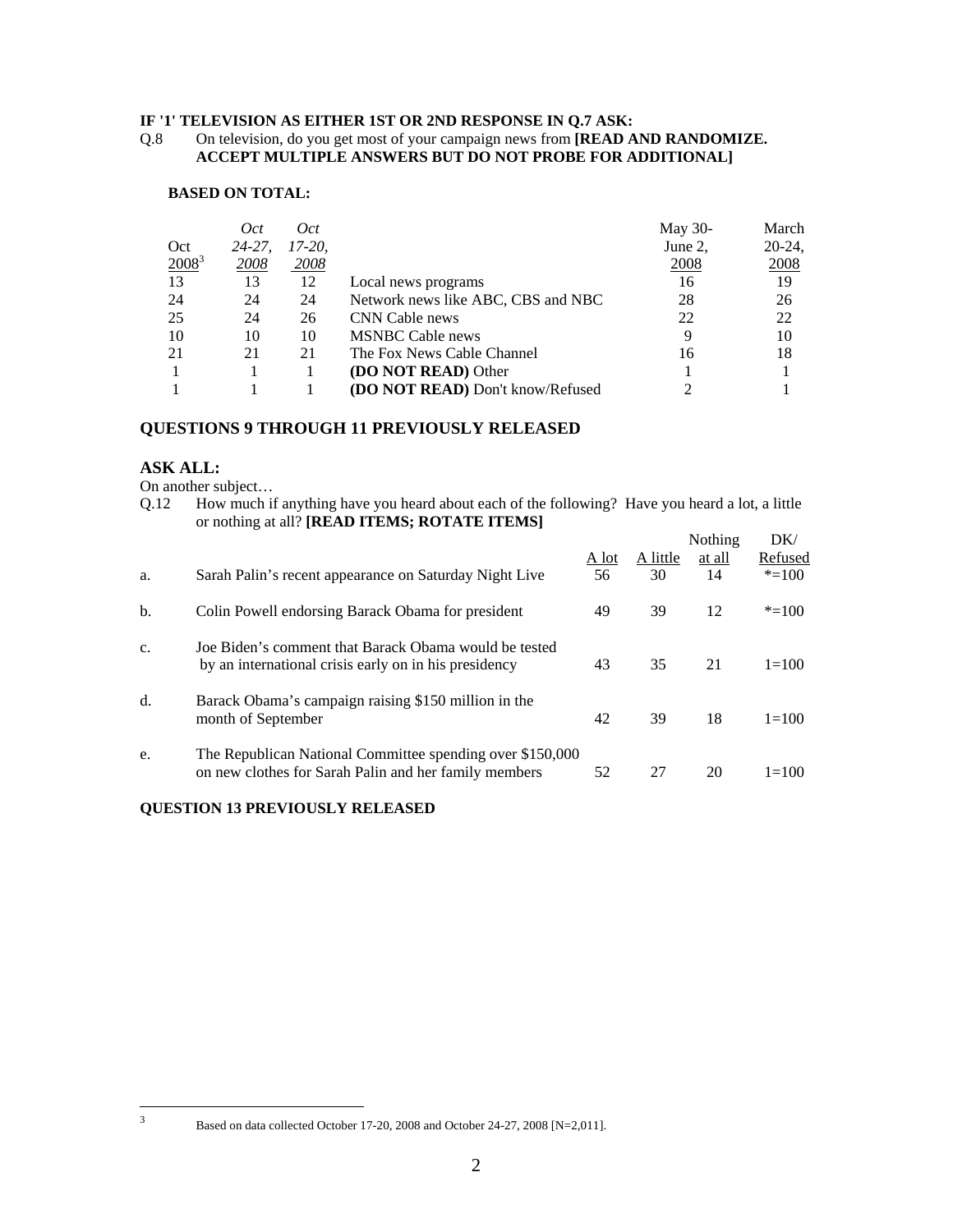#### **IF '1' TELEVISION AS EITHER 1ST OR 2ND RESPONSE IN Q.7 ASK:**

### Q.8 On television, do you get most of your campaign news from **[READ AND RANDOMIZE. ACCEPT MULTIPLE ANSWERS BUT DO NOT PROBE FOR ADDITIONAL]**

#### **BASED ON TOTAL:**

|          | Oct         | Oct      |                                         | May 30-     | March     |
|----------|-------------|----------|-----------------------------------------|-------------|-----------|
| Oct      | $24 - 27$ , | $17-20.$ |                                         | June 2,     | $20-24$ , |
| $2008^3$ | 2008        | 2008     |                                         | <b>2008</b> | 2008      |
| 13       | 13          | 12       | Local news programs                     | 16          | 19        |
| 24       | 24          | 24       | Network news like ABC, CBS and NBC      | 28          | 26        |
| 25       | 24          | 26       | CNN Cable news                          | 22          | 22        |
| 10       | 10          | 10       | <b>MSNBC</b> Cable news                 |             | 10        |
| 21       | 21          | 21       | The Fox News Cable Channel              | 16          | 18        |
|          |             |          | (DO NOT READ) Other                     |             |           |
|          |             |          | <b>(DO NOT READ)</b> Don't know/Refused |             |           |

# **QUESTIONS 9 THROUGH 11 PREVIOUSLY RELEASED**

## **ASK ALL:**

- On another subject…
- Q.12 How much if anything have you heard about each of the following? Have you heard a lot, a little or nothing at all? **[READ ITEMS; ROTATE ITEMS]**

|    |                                                                                                                    |       |          | Nothing | DK/       |
|----|--------------------------------------------------------------------------------------------------------------------|-------|----------|---------|-----------|
|    |                                                                                                                    | A lot | A little | at all  | Refused   |
| a. | Sarah Palin's recent appearance on Saturday Night Live                                                             | 56    | 30       | 14      | $* = 100$ |
| b. | Colin Powell endorsing Barack Obama for president                                                                  | 49    | 39       | 12      | $* = 100$ |
| c. | Joe Biden's comment that Barack Obama would be tested<br>by an international crisis early on in his presidency     | 43    | 35       | 21      | $1 = 100$ |
| d. | Barack Obama's campaign raising \$150 million in the<br>month of September                                         | 42    | 39       | 18      | $1 = 100$ |
| e. | The Republican National Committee spending over \$150,000<br>on new clothes for Sarah Palin and her family members | 52    | 27       | 20      | $1 = 100$ |

## **QUESTION 13 PREVIOUSLY RELEASED**

<sup>2</sup><br>3

Based on data collected October 17-20, 2008 and October 24-27, 2008 [N=2,011].